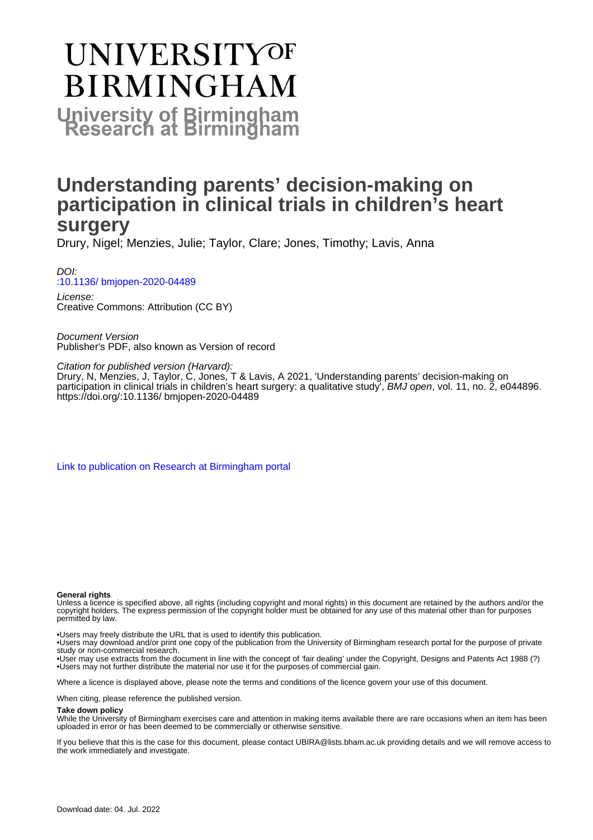# **UNIVERSITYOF BIRMINGHAM University of Birmingham**

## **Understanding parents' decision-making on participation in clinical trials in children's heart surgery**

Drury, Nigel; Menzies, Julie; Taylor, Clare; Jones, Timothy; Lavis, Anna

DOI: [:10.1136/ bmjopen-2020-04489](https://doi.org/:10.1136/ bmjopen-2020-04489)

License: Creative Commons: Attribution (CC BY)

Document Version Publisher's PDF, also known as Version of record

Citation for published version (Harvard):

Drury, N, Menzies, J, Taylor, C, Jones, T & Lavis, A 2021, 'Understanding parents' decision-making on participation in clinical trials in children's heart surgery: a qualitative study', BMJ open, vol. 11, no. 2, e044896. <https://doi.org/:10.1136/ bmjopen-2020-04489>

[Link to publication on Research at Birmingham portal](https://birmingham.elsevierpure.com/en/publications/5eb15e64-7954-49fe-af18-2eb73c200466)

#### **General rights**

Unless a licence is specified above, all rights (including copyright and moral rights) in this document are retained by the authors and/or the copyright holders. The express permission of the copyright holder must be obtained for any use of this material other than for purposes permitted by law.

• Users may freely distribute the URL that is used to identify this publication.

• Users may download and/or print one copy of the publication from the University of Birmingham research portal for the purpose of private study or non-commercial research.

• User may use extracts from the document in line with the concept of 'fair dealing' under the Copyright, Designs and Patents Act 1988 (?) • Users may not further distribute the material nor use it for the purposes of commercial gain.

Where a licence is displayed above, please note the terms and conditions of the licence govern your use of this document.

When citing, please reference the published version.

#### **Take down policy**

While the University of Birmingham exercises care and attention in making items available there are rare occasions when an item has been uploaded in error or has been deemed to be commercially or otherwise sensitive.

If you believe that this is the case for this document, please contact UBIRA@lists.bham.ac.uk providing details and we will remove access to the work immediately and investigate.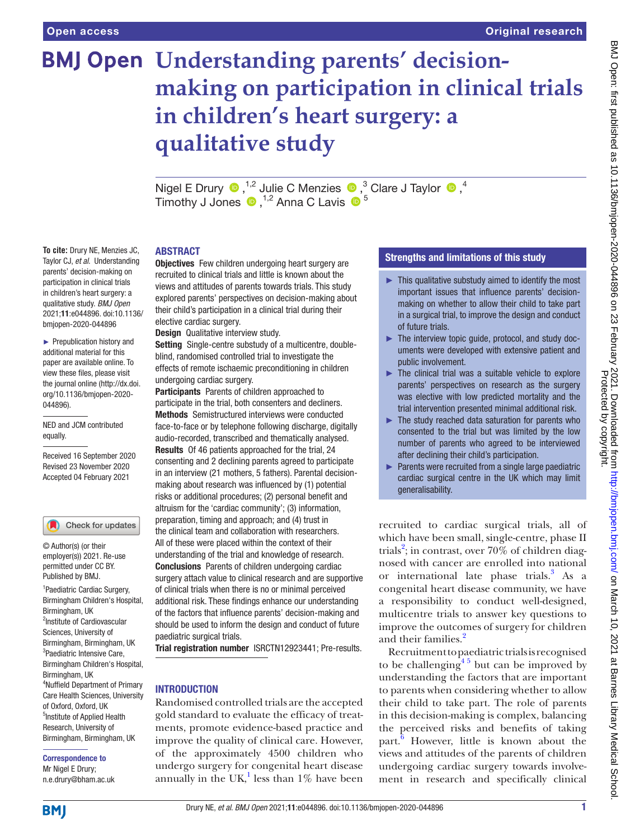# **BMJ Open Understanding parents' decisionmaking on participation in clinical trials in children's heart surgery: a qualitative study**

NigelE Drury  $\bigcirc$ ,<sup>1,2</sup> Julie C Menzies  $\bigcirc$ ,<sup>3</sup> Clare J Taylor  $\bigcirc$ ,<sup>4</sup> Timothy J Jones  $\bullet$  , <sup>1,2</sup> Anna C Lavis  $\bullet$  <sup>5</sup>

#### ABSTRACT

**Objectives** Few children undergoing heart surgery are recruited to clinical trials and little is known about the views and attitudes of parents towards trials. This study explored parents' perspectives on decision-making about their child's participation in a clinical trial during their elective cardiac surgery.

Design Qualitative interview study.

Setting Single-centre substudy of a multicentre, doubleblind, randomised controlled trial to investigate the effects of remote ischaemic preconditioning in children undergoing cardiac surgery.

Participants Parents of children approached to participate in the trial, both consenters and decliners. Methods Semistructured interviews were conducted face-to-face or by telephone following discharge, digitally audio-recorded, transcribed and thematically analysed. Results Of 46 patients approached for the trial, 24 consenting and 2 declining parents agreed to participate in an interview (21 mothers, 5 fathers). Parental decisionmaking about research was influenced by (1) potential risks or additional procedures; (2) personal benefit and altruism for the 'cardiac community'; (3) information, preparation, timing and approach; and (4) trust in the clinical team and collaboration with researchers. All of these were placed within the context of their understanding of the trial and knowledge of research. Conclusions Parents of children undergoing cardiac surgery attach value to clinical research and are supportive of clinical trials when there is no or minimal perceived additional risk. These findings enhance our understanding of the factors that influence parents' decision-making and should be used to inform the design and conduct of future paediatric surgical trials.

Trial registration number <ISRCTN12923441>; Pre-results.

#### **INTRODUCTION**

Randomised controlled trials are the accepted gold standard to evaluate the efficacy of treatments, promote evidence-based practice and improve the quality of clinical care. However, of the approximately 4500 children who undergo surgery for congenital heart disease annually in the  $UK<sup>1</sup>$  $UK<sup>1</sup>$  $UK<sup>1</sup>$  less than 1% have been

#### Strengths and limitations of this study

- ► This qualitative substudy aimed to identify the most important issues that influence parents' decisionmaking on whether to allow their child to take part in a surgical trial, to improve the design and conduct of future trials.
- ► The interview topic guide, protocol, and study documents were developed with extensive patient and public involvement.
- ► The clinical trial was a suitable vehicle to explore parents' perspectives on research as the surgery was elective with low predicted mortality and the trial intervention presented minimal additional risk.
- $\blacktriangleright$  The study reached data saturation for parents who consented to the trial but was limited by the low number of parents who agreed to be interviewed after declining their child's participation.
- ► Parents were recruited from a single large paediatric cardiac surgical centre in the UK which may limit generalisability.

recruited to cardiac surgical trials, all of which have been small, single-centre, phase II trials<sup>[2](#page-7-1)</sup>; in contrast, over 70% of children diagnosed with cancer are enrolled into national or international late phase trials.<sup>[3](#page-7-2)</sup> As a congenital heart disease community, we have a responsibility to conduct well-designed, multicentre trials to answer key questions to improve the outcomes of surgery for children and their families.<sup>2</sup>

Recruitment to paediatric trials is recognised to be challenging  $4^{\frac{4}{5}}$  but can be improved by understanding the factors that are important to parents when considering whether to allow their child to take part. The role of parents in this decision-making is complex, balancing the perceived risks and benefits of taking part.<sup>[6](#page-7-4)</sup> However, little is known about the views and attitudes of the parents of children undergoing cardiac surgery towards involvement in research and specifically clinical

► Prepublication history and additional material for this paper are available online. To view these files, please visit the journal online (http://dx.doi.

org/10.1136/bmjopen-2020-

**To cite:** Drury NE, Menzies JC, Taylor CJ, *et al*. Understanding parents' decision-making on participation in clinical trials in children's heart surgery: a qualitative study. *BMJ Open* 2021;11:e044896. doi:10.1136/ bmjopen-2020-044896

044896). NED and JCM contributed equally.

Received 16 September 2020 Revised 23 November 2020 Accepted 04 February 2021

(Check for updates

© Author(s) (or their employer(s)) 2021. Re-use permitted under CC BY. Published by BMJ.

1 Paediatric Cardiac Surgery, Birmingham Children's Hospital, Birmingham, UK <sup>2</sup>Institute of Cardiovascular Sciences, University of Birmingham, Birmingham, UK <sup>3</sup>Paediatric Intensive Care, Birmingham Children's Hospital, Birmingham, UK 4 Nuffield Department of Primary Care Health Sciences, University of Oxford, Oxford, UK 5 Institute of Applied Health Research, University of Birmingham, Birmingham, UK

Correspondence to Mr Nigel E Drury; n.e.drury@bham.ac.uk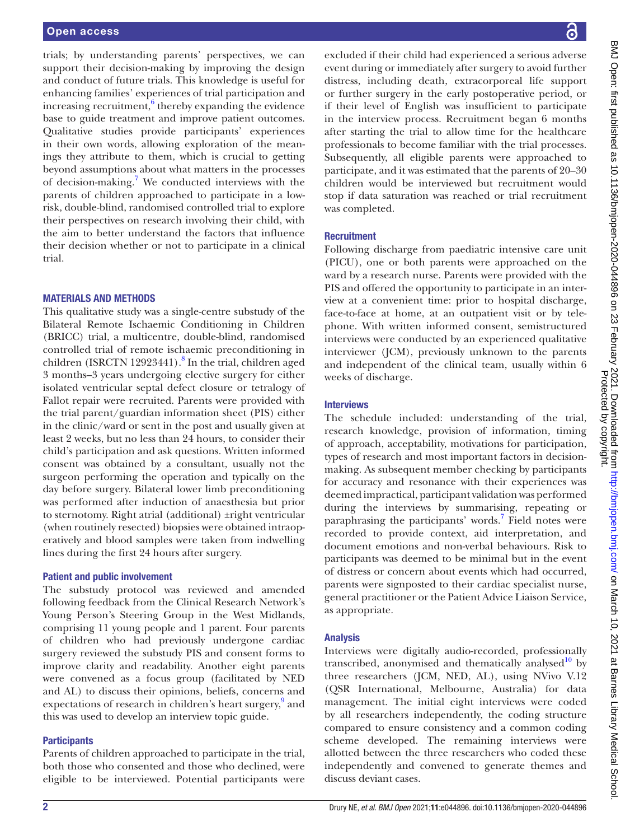trials; by understanding parents' perspectives, we can support their decision-making by improving the design and conduct of future trials. This knowledge is useful for enhancing families' experiences of trial participation and increasing recruitment, $6$  thereby expanding the evidence base to guide treatment and improve patient outcomes. Qualitative studies provide participants' experiences in their own words, allowing exploration of the meanings they attribute to them, which is crucial to getting beyond assumptions about what matters in the processes of decision-making[.7](#page-7-5) We conducted interviews with the parents of children approached to participate in a lowrisk, double-blind, randomised controlled trial to explore their perspectives on research involving their child, with the aim to better understand the factors that influence their decision whether or not to participate in a clinical trial.

#### MATERIALS AND METHODS

This qualitative study was a single-centre substudy of the Bilateral Remote Ischaemic Conditioning in Children (BRICC) trial, a multicentre, double-blind, randomised controlled trial of remote ischaemic preconditioning in children (ISRCTN 12923441).<sup>[8](#page-7-6)</sup> In the trial, children aged 3 months–3 years undergoing elective surgery for either isolated ventricular septal defect closure or tetralogy of Fallot repair were recruited. Parents were provided with the trial parent/guardian information sheet (PIS) either in the clinic/ward or sent in the post and usually given at least 2 weeks, but no less than 24 hours, to consider their child's participation and ask questions. Written informed consent was obtained by a consultant, usually not the surgeon performing the operation and typically on the day before surgery. Bilateral lower limb preconditioning was performed after induction of anaesthesia but prior to sternotomy. Right atrial (additional) ±right ventricular (when routinely resected) biopsies were obtained intraoperatively and blood samples were taken from indwelling lines during the first 24 hours after surgery.

#### Patient and public involvement

The substudy protocol was reviewed and amended following feedback from the Clinical Research Network's Young Person's Steering Group in the West Midlands, comprising 11 young people and 1 parent. Four parents of children who had previously undergone cardiac surgery reviewed the substudy PIS and consent forms to improve clarity and readability. Another eight parents were convened as a focus group (facilitated by NED and AL) to discuss their opinions, beliefs, concerns and expectations of research in children's heart surgery,<sup>[9](#page-7-7)</sup> and this was used to develop an interview topic guide.

#### **Participants**

Parents of children approached to participate in the trial, both those who consented and those who declined, were eligible to be interviewed. Potential participants were excluded if their child had experienced a serious adverse event during or immediately after surgery to avoid further distress, including death, extracorporeal life support or further surgery in the early postoperative period, or if their level of English was insufficient to participate in the interview process. Recruitment began 6 months after starting the trial to allow time for the healthcare professionals to become familiar with the trial processes. Subsequently, all eligible parents were approached to participate, and it was estimated that the parents of 20–30 children would be interviewed but recruitment would stop if data saturation was reached or trial recruitment was completed.

#### **Recruitment**

Following discharge from paediatric intensive care unit (PICU), one or both parents were approached on the ward by a research nurse. Parents were provided with the PIS and offered the opportunity to participate in an interview at a convenient time: prior to hospital discharge, face-to-face at home, at an outpatient visit or by telephone. With written informed consent, semistructured interviews were conducted by an experienced qualitative interviewer (JCM), previously unknown to the parents and independent of the clinical team, usually within 6 weeks of discharge.

#### **Interviews**

The schedule included: understanding of the trial, research knowledge, provision of information, timing of approach, acceptability, motivations for participation, types of research and most important factors in decisionmaking. As subsequent member checking by participants for accuracy and resonance with their experiences was deemed impractical, participant validation was performed during the interviews by summarising, repeating or paraphrasing the participants' words.<sup>7</sup> Field notes were recorded to provide context, aid interpretation, and document emotions and non-verbal behaviours. Risk to participants was deemed to be minimal but in the event of distress or concern about events which had occurred, parents were signposted to their cardiac specialist nurse, general practitioner or the Patient Advice Liaison Service, as appropriate.

#### Analysis

Interviews were digitally audio-recorded, professionally transcribed, anonymised and thematically analysed $10$  by three researchers (JCM, NED, AL), using NVivo V.12 (QSR International, Melbourne, Australia) for data management. The initial eight interviews were coded by all researchers independently, the coding structure compared to ensure consistency and a common coding scheme developed. The remaining interviews were allotted between the three researchers who coded these independently and convened to generate themes and discuss deviant cases.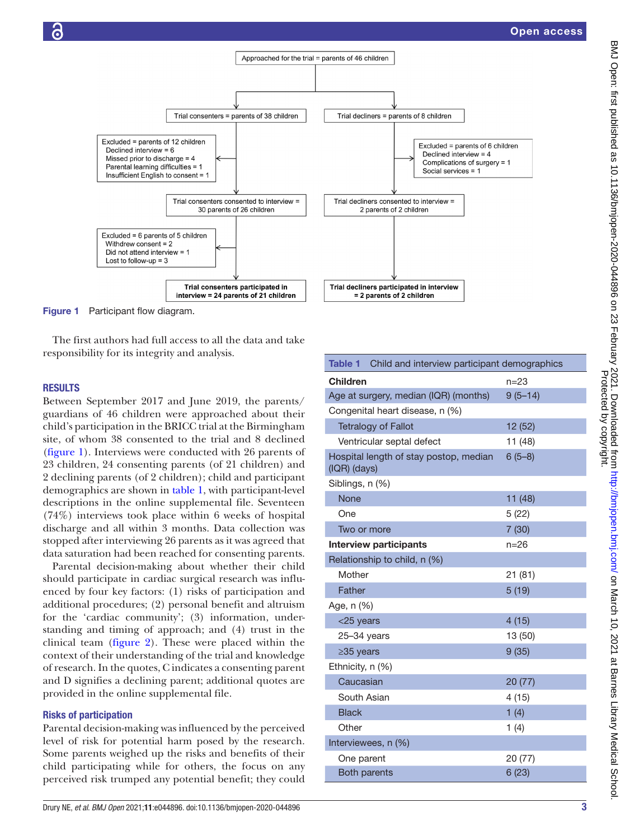Open access



<span id="page-3-0"></span>Figure 1 Participant flow diagram.

The first authors had full access to all the data and take responsibility for its integrity and analysis.

#### **RESULTS**

Between September 2017 and June 2019, the parents/ guardians of 46 children were approached about their child's participation in the BRICC trial at the Birmingham site, of whom 38 consented to the trial and 8 declined ([figure](#page-3-0) 1). Interviews were conducted with 26 parents of 23 children, 24 consenting parents (of 21 children) and 2 declining parents (of 2 children); child and participant demographics are shown in [table](#page-3-1) 1, with participant-level descriptions in the [online supplemental file](https://dx.doi.org/10.1136/bmjopen-2020-044896). Seventeen (74%) interviews took place within 6 weeks of hospital discharge and all within 3 months. Data collection was stopped after interviewing 26 parents as it was agreed that data saturation had been reached for consenting parents.

Parental decision-making about whether their child should participate in cardiac surgical research was influenced by four key factors: (1) risks of participation and additional procedures; (2) personal benefit and altruism for the 'cardiac community'; (3) information, understanding and timing of approach; and (4) trust in the clinical team ([figure](#page-4-0) 2). These were placed within the context of their understanding of the trial and knowledge of research. In the quotes, C indicates a consenting parent and D signifies a declining parent; additional quotes are provided in the [online supplemental file.](https://dx.doi.org/10.1136/bmjopen-2020-044896)

#### Risks of participation

Parental decision-making was influenced by the perceived level of risk for potential harm posed by the research. Some parents weighed up the risks and benefits of their child participating while for others, the focus on any perceived risk trumped any potential benefit; they could

<span id="page-3-1"></span>

| <b>Table 1</b> Child and interview participant demographics |             |
|-------------------------------------------------------------|-------------|
| <b>Children</b>                                             | $n = 23$    |
| Age at surgery, median (IQR) (months)                       | $9(5 - 14)$ |
| Congenital heart disease, n (%)                             |             |
| <b>Tetralogy of Fallot</b>                                  | 12 (52)     |
| Ventricular septal defect                                   | 11 (48)     |
| Hospital length of stay postop, median<br>(IQR) (days)      | $6(5-8)$    |
| Siblings, n (%)                                             |             |
| <b>None</b>                                                 | 11 (48)     |
| One                                                         | 5 (22)      |
| Two or more                                                 | 7(30)       |
| <b>Interview participants</b>                               | $n = 26$    |
| Relationship to child, n (%)                                |             |
| Mother                                                      | 21 (81)     |
| Father                                                      | 5(19)       |
| Age, n (%)                                                  |             |
| $<$ 25 years                                                | 4(15)       |
| $25 - 34$ years                                             | 13 (50)     |
| $\geq$ 35 years                                             | 9(35)       |
| Ethnicity, $n$ $(\%)$                                       |             |
| Caucasian                                                   | 20 (77)     |
| South Asian                                                 | 4(15)       |
| <b>Black</b>                                                | 1(4)        |
| Other                                                       | 1 $(4)$     |
| Interviewees, n (%)                                         |             |
| One parent                                                  | 20 (77)     |
| <b>Both parents</b>                                         | 6(23)       |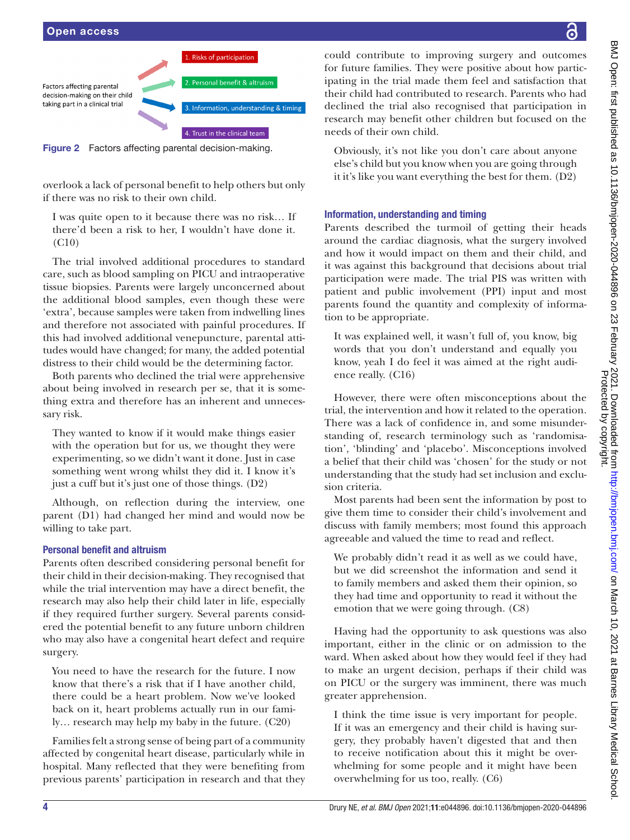

<span id="page-4-0"></span>Figure 2 Factors affecting parental decision-making.

overlook a lack of personal benefit to help others but only if there was no risk to their own child.

I was quite open to it because there was no risk… If there'd been a risk to her, I wouldn't have done it. (C10)

The trial involved additional procedures to standard care, such as blood sampling on PICU and intraoperative tissue biopsies. Parents were largely unconcerned about the additional blood samples, even though these were 'extra', because samples were taken from indwelling lines and therefore not associated with painful procedures. If this had involved additional venepuncture, parental attitudes would have changed; for many, the added potential distress to their child would be the determining factor.

Both parents who declined the trial were apprehensive about being involved in research per se, that it is something extra and therefore has an inherent and unnecessary risk.

They wanted to know if it would make things easier with the operation but for us, we thought they were experimenting, so we didn't want it done. Just in case something went wrong whilst they did it. I know it's just a cuff but it's just one of those things. (D2)

Although, on reflection during the interview, one parent (D1) had changed her mind and would now be willing to take part.

#### Personal benefit and altruism

Parents often described considering personal benefit for their child in their decision-making. They recognised that while the trial intervention may have a direct benefit, the research may also help their child later in life, especially if they required further surgery. Several parents considered the potential benefit to any future unborn children who may also have a congenital heart defect and require surgery.

You need to have the research for the future. I now know that there's a risk that if I have another child, there could be a heart problem. Now we've looked back on it, heart problems actually run in our family… research may help my baby in the future. (C20)

Families felt a strong sense of being part of a community affected by congenital heart disease, particularly while in hospital. Many reflected that they were benefiting from previous parents' participation in research and that they

could contribute to improving surgery and outcomes for future families. They were positive about how participating in the trial made them feel and satisfaction that their child had contributed to research. Parents who had declined the trial also recognised that participation in research may benefit other children but focused on the needs of their own child.

Obviously, it's not like you don't care about anyone else's child but you know when you are going through it it's like you want everything the best for them. (D2)

#### Information, understanding and timing

Parents described the turmoil of getting their heads around the cardiac diagnosis, what the surgery involved and how it would impact on them and their child, and it was against this background that decisions about trial participation were made. The trial PIS was written with patient and public involvement (PPI) input and most parents found the quantity and complexity of information to be appropriate.

It was explained well, it wasn't full of, you know, big words that you don't understand and equally you know, yeah I do feel it was aimed at the right audience really. (C16)

However, there were often misconceptions about the trial, the intervention and how it related to the operation. There was a lack of confidence in, and some misunderstanding of, research terminology such as 'randomisation', 'blinding' and 'placebo'. Misconceptions involved a belief that their child was 'chosen' for the study or not understanding that the study had set inclusion and exclusion criteria.

Most parents had been sent the information by post to give them time to consider their child's involvement and discuss with family members; most found this approach agreeable and valued the time to read and reflect.

We probably didn't read it as well as we could have, but we did screenshot the information and send it to family members and asked them their opinion, so they had time and opportunity to read it without the emotion that we were going through. (C8)

Having had the opportunity to ask questions was also important, either in the clinic or on admission to the ward. When asked about how they would feel if they had to make an urgent decision, perhaps if their child was on PICU or the surgery was imminent, there was much greater apprehension.

I think the time issue is very important for people. If it was an emergency and their child is having surgery, they probably haven't digested that and then to receive notification about this it might be overwhelming for some people and it might have been overwhelming for us too, really. (C6)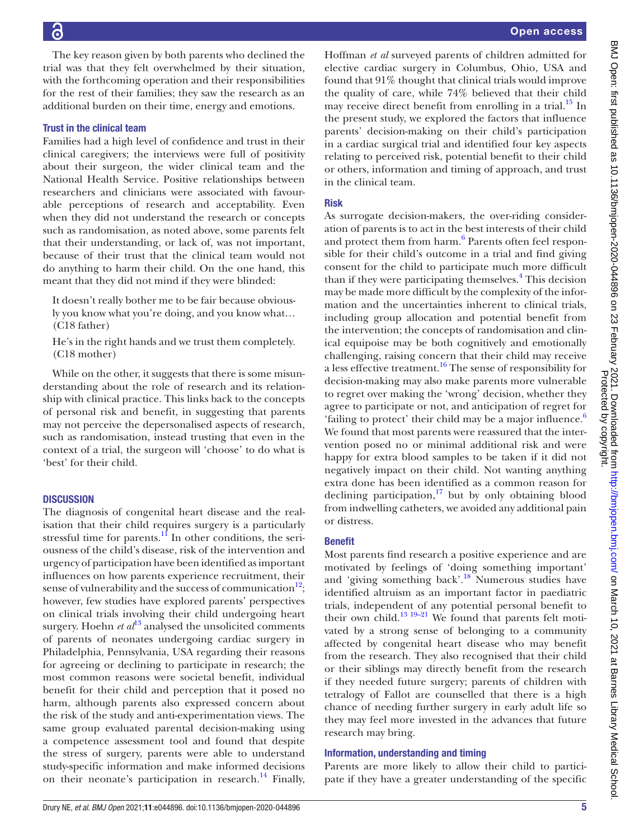### 6

The key reason given by both parents who declined the trial was that they felt overwhelmed by their situation, with the forthcoming operation and their responsibilities for the rest of their families; they saw the research as an additional burden on their time, energy and emotions.

#### Trust in the clinical team

Families had a high level of confidence and trust in their clinical caregivers; the interviews were full of positivity about their surgeon, the wider clinical team and the National Health Service. Positive relationships between researchers and clinicians were associated with favourable perceptions of research and acceptability. Even when they did not understand the research or concepts such as randomisation, as noted above, some parents felt that their understanding, or lack of, was not important, because of their trust that the clinical team would not do anything to harm their child. On the one hand, this meant that they did not mind if they were blinded:

It doesn't really bother me to be fair because obviously you know what you're doing, and you know what… (C18 father)

He's in the right hands and we trust them completely. (C18 mother)

While on the other, it suggests that there is some misunderstanding about the role of research and its relationship with clinical practice. This links back to the concepts of personal risk and benefit, in suggesting that parents may not perceive the depersonalised aspects of research, such as randomisation, instead trusting that even in the context of a trial, the surgeon will 'choose' to do what is 'best' for their child.

#### **DISCUSSION**

The diagnosis of congenital heart disease and the realisation that their child requires surgery is a particularly stressful time for parents.<sup>11</sup> In other conditions, the seriousness of the child's disease, risk of the intervention and urgency of participation have been identified as important influences on how parents experience recruitment, their sense of vulnerability and the success of communication $12$ ; however, few studies have explored parents' perspectives on clinical trials involving their child undergoing heart surgery. Hoehn  $et al^{13}$  analysed the unsolicited comments of parents of neonates undergoing cardiac surgery in Philadelphia, Pennsylvania, USA regarding their reasons for agreeing or declining to participate in research; the most common reasons were societal benefit, individual benefit for their child and perception that it posed no harm, although parents also expressed concern about the risk of the study and anti-experimentation views. The same group evaluated parental decision-making using a competence assessment tool and found that despite the stress of surgery, parents were able to understand study-specific information and make informed decisions on their neonate's participation in research.<sup>14</sup> Finally,

Hoffman *et al* surveyed parents of children admitted for elective cardiac surgery in Columbus, Ohio, USA and found that 91% thought that clinical trials would improve the quality of care, while 74% believed that their child may receive direct benefit from enrolling in a trial. $^{15}$  In the present study, we explored the factors that influence parents' decision-making on their child's participation in a cardiac surgical trial and identified four key aspects relating to perceived risk, potential benefit to their child or others, information and timing of approach, and trust in the clinical team.

#### Risk

As surrogate decision-makers, the over-riding consideration of parents is to act in the best interests of their child and protect them from harm.<sup>6</sup> Parents often feel responsible for their child's outcome in a trial and find giving consent for the child to participate much more difficult than if they were participating themselves.<sup>[4](#page-7-3)</sup> This decision may be made more difficult by the complexity of the information and the uncertainties inherent to clinical trials, including group allocation and potential benefit from the intervention; the concepts of randomisation and clinical equipoise may be both cognitively and emotionally challenging, raising concern that their child may receive a less effective treatment.<sup>16</sup> The sense of responsibility for decision-making may also make parents more vulnerable to regret over making the 'wrong' decision, whether they agree to participate or not, and anticipation of regret for 'failing to protect' their child may be a major influence.<sup>6</sup> We found that most parents were reassured that the intervention posed no or minimal additional risk and were happy for extra blood samples to be taken if it did not negatively impact on their child. Not wanting anything extra done has been identified as a common reason for declining participation, $17$  but by only obtaining blood from indwelling catheters, we avoided any additional pain or distress.

#### Benefit

Most parents find research a positive experience and are motivated by feelings of 'doing something important' and 'giving something back'.<sup>[18](#page-8-4)</sup> Numerous studies have identified altruism as an important factor in paediatric trials, independent of any potential personal benefit to their own child.<sup>13 19-21</sup> We found that parents felt motivated by a strong sense of belonging to a community affected by congenital heart disease who may benefit from the research. They also recognised that their child or their siblings may directly benefit from the research if they needed future surgery; parents of children with tetralogy of Fallot are counselled that there is a high chance of needing further surgery in early adult life so they may feel more invested in the advances that future research may bring.

#### Information, understanding and timing

Parents are more likely to allow their child to participate if they have a greater understanding of the specific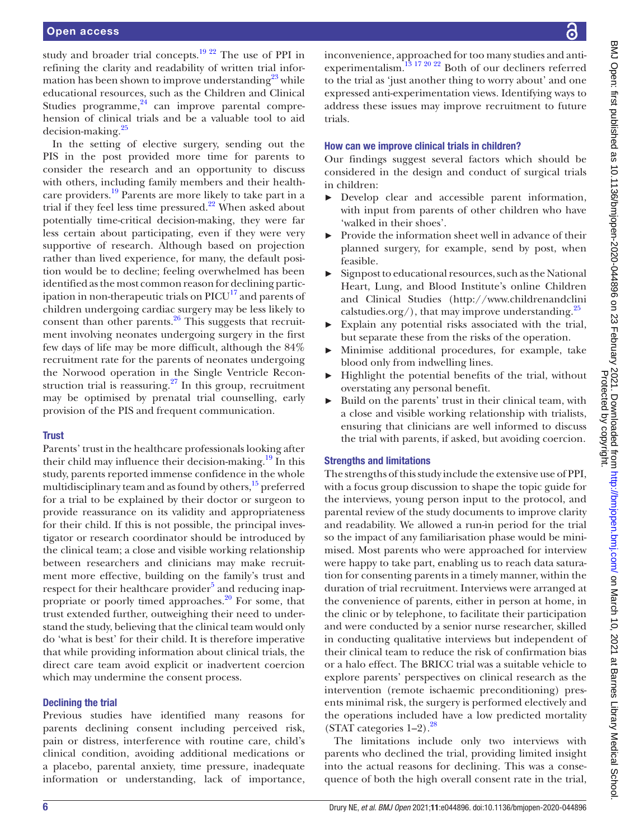study and broader trial concepts. $19^{22}$  The use of PPI in refining the clarity and readability of written trial information has been shown to improve understanding $^{23}$  while educational resources, such as the Children and Clinical Studies programme, $24$  can improve parental comprehension of clinical trials and be a valuable tool to aid decision-making.<sup>25</sup>

In the setting of elective surgery, sending out the PIS in the post provided more time for parents to consider the research and an opportunity to discuss with others, including family members and their healthcare providers.<sup>19</sup> Parents are more likely to take part in a trial if they feel less time pressured. $22$  When asked about potentially time-critical decision-making, they were far less certain about participating, even if they were very supportive of research. Although based on projection rather than lived experience, for many, the default position would be to decline; feeling overwhelmed has been identified as the most common reason for declining participation in non-therapeutic trials on  $\text{PICU}^{17}$  $\text{PICU}^{17}$  $\text{PICU}^{17}$  and parents of children undergoing cardiac surgery may be less likely to consent than other parents. $26$  This suggests that recruitment involving neonates undergoing surgery in the first few days of life may be more difficult, although the 84% recruitment rate for the parents of neonates undergoing the Norwood operation in the Single Ventricle Reconstruction trial is reassuring. $27$  In this group, recruitment may be optimised by prenatal trial counselling, early provision of the PIS and frequent communication.

#### **Trust**

Parents' trust in the healthcare professionals looking after their child may influence their decision-making.<sup>19</sup> In this study, parents reported immense confidence in the whole multidisciplinary team and as found by others, $15$  preferred for a trial to be explained by their doctor or surgeon to provide reassurance on its validity and appropriateness for their child. If this is not possible, the principal investigator or research coordinator should be introduced by the clinical team; a close and visible working relationship between researchers and clinicians may make recruitment more effective, building on the family's trust and respect for their healthcare provider<sup>5</sup> and reducing inappropriate or poorly timed approaches. $^{20}$  For some, that trust extended further, outweighing their need to understand the study, believing that the clinical team would only do 'what is best' for their child. It is therefore imperative that while providing information about clinical trials, the direct care team avoid explicit or inadvertent coercion which may undermine the consent process.

#### Declining the trial

Previous studies have identified many reasons for parents declining consent including perceived risk, pain or distress, interference with routine care, child's clinical condition, avoiding additional medications or a placebo, parental anxiety, time pressure, inadequate information or understanding, lack of importance,

inconvenience, approached for too many studies and antiexperimentalism.<sup>13 17 20 22</sup> Both of our decliners referred to the trial as 'just another thing to worry about' and one expressed anti-experimentation views. Identifying ways to address these issues may improve recruitment to future trials.

#### How can we improve clinical trials in children?

Our findings suggest several factors which should be considered in the design and conduct of surgical trials in children:

- ► Develop clear and accessible parent information, with input from parents of other children who have 'walked in their shoes'.
- ► Provide the information sheet well in advance of their planned surgery, for example, send by post, when feasible.
- ► Signpost to educational resources, such as the National Heart, Lung, and Blood Institute's online Children and Clinical Studies ([http://www.childrenandclini](http://www.childrenandclinicalstudies.org/) [calstudies.org/\)](http://www.childrenandclinicalstudies.org/), that may improve understanding.<sup>25</sup>
- Explain any potential risks associated with the trial, but separate these from the risks of the operation.
- ► Minimise additional procedures, for example, take blood only from indwelling lines.
- Highlight the potential benefits of the trial, without overstating any personal benefit.
- ► Build on the parents' trust in their clinical team, with a close and visible working relationship with trialists, ensuring that clinicians are well informed to discuss the trial with parents, if asked, but avoiding coercion.

#### Strengths and limitations

The strengths of this study include the extensive use of PPI, with a focus group discussion to shape the topic guide for the interviews, young person input to the protocol, and parental review of the study documents to improve clarity and readability. We allowed a run-in period for the trial so the impact of any familiarisation phase would be minimised. Most parents who were approached for interview were happy to take part, enabling us to reach data saturation for consenting parents in a timely manner, within the duration of trial recruitment. Interviews were arranged at the convenience of parents, either in person at home, in the clinic or by telephone, to facilitate their participation and were conducted by a senior nurse researcher, skilled in conducting qualitative interviews but independent of their clinical team to reduce the risk of confirmation bias or a halo effect. The BRICC trial was a suitable vehicle to explore parents' perspectives on clinical research as the intervention (remote ischaemic preconditioning) presents minimal risk, the surgery is performed electively and the operations included have a low predicted mortality (STAT categories  $1-2$ ).<sup>[28](#page-8-13)</sup>

The limitations include only two interviews with parents who declined the trial, providing limited insight into the actual reasons for declining. This was a consequence of both the high overall consent rate in the trial,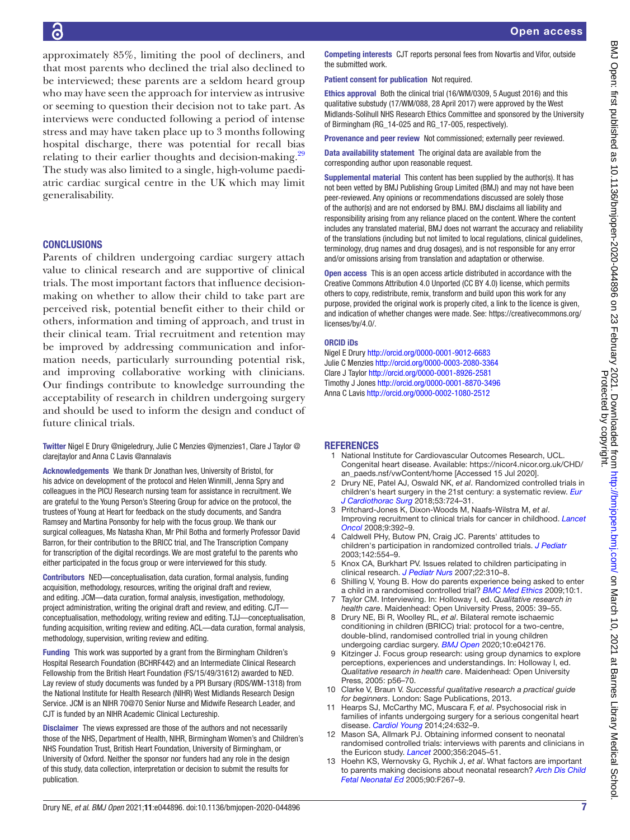approximately 85%, limiting the pool of decliners, and that most parents who declined the trial also declined to be interviewed; these parents are a seldom heard group who may have seen the approach for interview as intrusive or seeming to question their decision not to take part. As interviews were conducted following a period of intense stress and may have taken place up to 3 months following hospital discharge, there was potential for recall bias relating to their earlier thoughts and decision-making.<sup>[29](#page-8-14)</sup> The study was also limited to a single, high-volume paediatric cardiac surgical centre in the UK which may limit generalisability.

#### **CONCLUSIONS**

Parents of children undergoing cardiac surgery attach value to clinical research and are supportive of clinical trials. The most important factors that influence decisionmaking on whether to allow their child to take part are perceived risk, potential benefit either to their child or others, information and timing of approach, and trust in their clinical team. Trial recruitment and retention may be improved by addressing communication and information needs, particularly surrounding potential risk, and improving collaborative working with clinicians. Our findings contribute to knowledge surrounding the acceptability of research in children undergoing surgery and should be used to inform the design and conduct of future clinical trials.

Twitter Nigel E Drury [@nigeledrury](https://twitter.com/nigeledrury), Julie C Menzies [@jmenzies1,](https://twitter.com/jmenzies1) Clare J Taylor [@](https://twitter.com/clarejtaylor) [clarejtaylor](https://twitter.com/clarejtaylor) and Anna C Lavis [@annalavis](https://twitter.com/annalavis)

Acknowledgements We thank Dr Jonathan Ives, University of Bristol, for his advice on development of the protocol and Helen Winmill, Jenna Spry and colleagues in the PICU Research nursing team for assistance in recruitment. We are grateful to the Young Person's Steering Group for advice on the protocol, the trustees of Young at Heart for feedback on the study documents, and Sandra Ramsey and Martina Ponsonby for help with the focus group. We thank our surgical colleagues, Ms Natasha Khan, Mr Phil Botha and formerly Professor David Barron, for their contribution to the BRICC trial, and The Transcription Company for transcription of the digital recordings. We are most grateful to the parents who either participated in the focus group or were interviewed for this study.

Contributors NED—conceptualisation, data curation, formal analysis, funding acquisition, methodology, resources, writing the original draft and review, and editing. JCM—data curation, formal analysis, investigation, methodology, project administration, writing the original draft and review, and editing. CJT conceptualisation, methodology, writing review and editing. TJJ—conceptualisation, funding acquisition, writing review and editing. ACL—data curation, formal analysis, methodology, supervision, writing review and editing.

Funding This work was supported by a grant from the Birmingham Children's Hospital Research Foundation (BCHRF442) and an Intermediate Clinical Research Fellowship from the British Heart Foundation (FS/15/49/31612) awarded to NED. Lay review of study documents was funded by a PPI Bursary (RDS/WM-1318) from the National Institute for Health Research (NIHR) West Midlands Research Design Service. JCM is an NIHR 70@70 Senior Nurse and Midwife Research Leader, and CJT is funded by an NIHR Academic Clinical Lectureship.

Disclaimer The views expressed are those of the authors and not necessarily those of the NHS, Department of Health, NIHR, Birmingham Women's and Children's NHS Foundation Trust, British Heart Foundation, University of Birmingham, or University of Oxford. Neither the sponsor nor funders had any role in the design of this study, data collection, interpretation or decision to submit the results for publication.

Competing interests CJT reports personal fees from Novartis and Vifor, outside the submitted work.

Patient consent for publication Not required.

Ethics approval Both the clinical trial (16/WM/0309, 5 August 2016) and this qualitative substudy (17/WM/088, 28 April 2017) were approved by the West Midlands-Solihull NHS Research Ethics Committee and sponsored by the University of Birmingham (RG\_14-025 and RG\_17-005, respectively).

Provenance and peer review Not commissioned; externally peer reviewed.

Data availability statement The original data are available from the corresponding author upon reasonable request.

Supplemental material This content has been supplied by the author(s). It has not been vetted by BMJ Publishing Group Limited (BMJ) and may not have been peer-reviewed. Any opinions or recommendations discussed are solely those of the author(s) and are not endorsed by BMJ. BMJ disclaims all liability and responsibility arising from any reliance placed on the content. Where the content includes any translated material, BMJ does not warrant the accuracy and reliability of the translations (including but not limited to local regulations, clinical guidelines, terminology, drug names and drug dosages), and is not responsible for any error and/or omissions arising from translation and adaptation or otherwise.

Open access This is an open access article distributed in accordance with the Creative Commons Attribution 4.0 Unported (CC BY 4.0) license, which permits others to copy, redistribute, remix, transform and build upon this work for any purpose, provided the original work is properly cited, a link to the licence is given, and indication of whether changes were made. See: [https://creativecommons.org/](https://creativecommons.org/licenses/by/4.0/) [licenses/by/4.0/](https://creativecommons.org/licenses/by/4.0/).

#### ORCID iDs

Nigel E Drury <http://orcid.org/0000-0001-9012-6683> Julie C Menzies<http://orcid.org/0000-0003-2080-3364> Clare J Taylor <http://orcid.org/0000-0001-8926-2581> Timothy J Jones<http://orcid.org/0000-0001-8870-3496> Anna C Lavis<http://orcid.org/0000-0002-1080-2512>

#### REFERENCES

- <span id="page-7-0"></span>National Institute for Cardiovascular Outcomes Research, UCL. Congenital heart disease. Available: [https://nicor4.nicor.org.uk/CHD/](https://nicor4.nicor.org.uk/CHD/an_paeds.nsf/vwContent/home) [an\\_paeds.nsf/vwContent/home](https://nicor4.nicor.org.uk/CHD/an_paeds.nsf/vwContent/home) [Accessed 15 Jul 2020].
- <span id="page-7-1"></span>2 Drury NE, Patel AJ, Oswald NK, *et al*. Randomized controlled trials in children's heart surgery in the 21st century: a systematic review. *[Eur](http://dx.doi.org/10.1093/ejcts/ezx388)  [J Cardiothorac Surg](http://dx.doi.org/10.1093/ejcts/ezx388)* 2018;53:724–31.
- <span id="page-7-2"></span>3 Pritchard-Jones K, Dixon-Woods M, Naafs-Wilstra M, *et al*. Improving recruitment to clinical trials for cancer in childhood. *[Lancet](http://dx.doi.org/10.1016/S1470-2045(08)70101-3)  [Oncol](http://dx.doi.org/10.1016/S1470-2045(08)70101-3)* 2008;9:392–9.
- <span id="page-7-3"></span>Caldwell PHy, Butow PN, Craig JC. Parents' attitudes to children's participation in randomized controlled trials. *[J Pediatr](http://dx.doi.org/10.1067/mpd.2003.192)* 2003;142:554–9.
- <span id="page-7-12"></span>5 Knox CA, Burkhart PV. Issues related to children participating in clinical research. *[J Pediatr Nurs](http://dx.doi.org/10.1016/j.pedn.2007.02.004)* 2007;22:310–8.
- <span id="page-7-4"></span>6 Shilling V, Young B. How do parents experience being asked to enter a child in a randomised controlled trial? *[BMC Med Ethics](http://dx.doi.org/10.1186/1472-6939-10-1)* 2009;10:1.
- <span id="page-7-5"></span>7 Taylor CM. Interviewing. In: Holloway I, ed. *Qualitative research in health care*. Maidenhead: Open University Press, 2005: 39–55.
- <span id="page-7-6"></span>8 Drury NE, Bi R, Woolley RL, *et al*. Bilateral remote ischaemic conditioning in children (BRICC) trial: protocol for a two-centre, double-blind, randomised controlled trial in young children undergoing cardiac surgery. *[BMJ Open](http://dx.doi.org/10.1136/bmjopen-2020-042176)* 2020;10:e042176.
- <span id="page-7-7"></span>9 Kitzinger J. Focus group research: using group dynamics to explore perceptions, experiences and understandings. In: Holloway I, ed. *Qualitative research in health care*. Maidenhead: Open University Press, 2005: p56–70.
- <span id="page-7-8"></span>10 Clarke V, Braun V. *Successful qualitative research a practical guide for beginners*. London: Sage Publications, 2013.
- <span id="page-7-9"></span>11 Hearps SJ, McCarthy MC, Muscara F, *et al*. Psychosocial risk in families of infants undergoing surgery for a serious congenital heart disease. *[Cardiol Young](http://dx.doi.org/10.1017/S1047951113000760)* 2014;24:632–9.
- <span id="page-7-10"></span>12 Mason SA, Allmark PJ. Obtaining informed consent to neonatal randomised controlled trials: interviews with parents and clinicians in the Euricon study. *[Lancet](http://dx.doi.org/10.1016/S0140-6736(00)03401-2)* 2000;356:2045–51.
- <span id="page-7-11"></span>13 Hoehn KS, Wernovsky G, Rychik J, *et al*. What factors are important to parents making decisions about neonatal research? *[Arch Dis Child](http://dx.doi.org/10.1136/adc.2004.065078)  [Fetal Neonatal Ed](http://dx.doi.org/10.1136/adc.2004.065078)* 2005;90:F267–9.